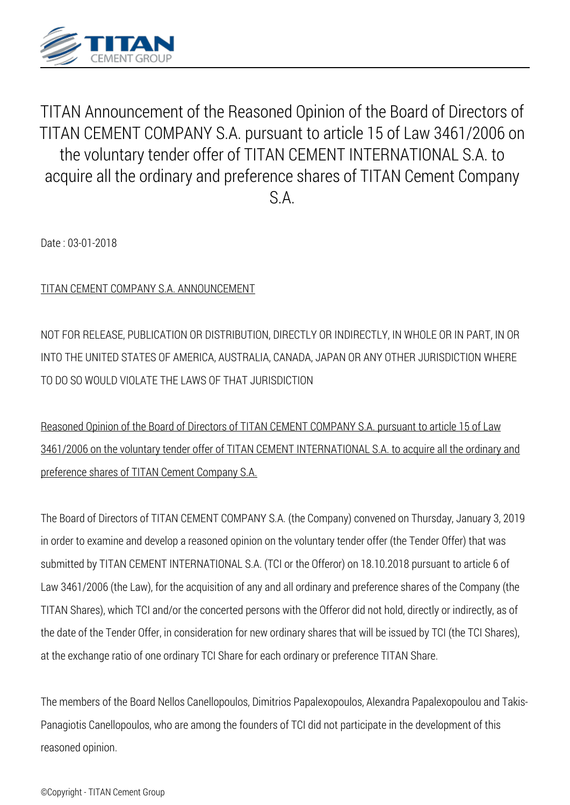

*TITAN Announcement of the Reasoned Opinion of the Board of Directors of TITAN CEMENT COMPANY S.A. pursuant to article 15 of Law 3461/2006 on the voluntary tender offer of TITAN CEMENT INTERNATIONAL S.A. to acquire all the ordinary and preference shares of TITAN Cement Company S.A.*

*Date : 03-01-2018*

*TITAN CEMENT COMPANY S.A. ANNOUNCEMENT*

*NOT FOR RELEASE, PUBLICATION OR DISTRIBUTION, DIRECTLY OR INDIRECTLY, IN WHOLE OR IN PART, IN OR INTO THE UNITED STATES OF AMERICA, AUSTRALIA, CANADA, JAPAN OR ANY OTHER JURISDICTION WHERE TO DO SO WOULD VIOLATE THE LAWS OF THAT JURISDICTION*

*Reasoned Opinion of the Board of Directors of TITAN CEMENT COMPANY S.A. pursuant to article 15 of Law 3461/2006 on the voluntary tender offer of TITAN CEMENT INTERNATIONAL S.A. to acquire all the ordinary and preference shares of TITAN Cement Company S.A.*

*The Board of Directors of TITAN CEMENT COMPANY S.A. (the Company) convened on Thursday, January 3, 2019 in order to examine and develop a reasoned opinion on the voluntary tender offer (the Tender Offer) that was submitted by TITAN CEMENT INTERNATIONAL S.A. (TCI or the Offeror) on 18.10.2018 pursuant to article 6 of Law 3461/2006 (the Law), for the acquisition of any and all ordinary and preference shares of the Company (the TITAN Shares), which TCI and/or the concerted persons with the Offeror did not hold, directly or indirectly, as of the date of the Tender Offer, in consideration for new ordinary shares that will be issued by TCI (the TCI Shares), at the exchange ratio of one ordinary TCI Share for each ordinary or preference TITAN Share.*

*The members of the Board Nellos Canellopoulos, Dimitrios Papalexopoulos, Alexandra Papalexopoulou and Takis-Panagiotis Canellopoulos, who are among the founders of TCI did not participate in the development of this reasoned opinion.*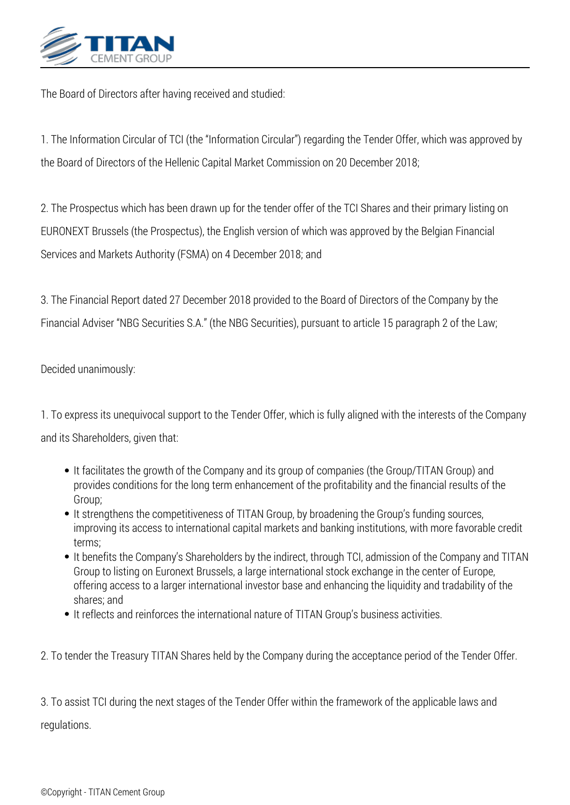

*The Board of Directors after having received and studied:*

*1. The Information Circular of TCI (the "Information Circular") regarding the Tender Offer, which was approved by the Board of Directors of the Hellenic Capital Market Commission on 20 December 2018;*

*2. The Prospectus which has been drawn up for the tender offer of the TCI Shares and their primary listing on EURONEXT Brussels (the Prospectus), the English version of which was approved by the Belgian Financial Services and Markets Authority (FSMA) on 4 December 2018; and*

*3. The Financial Report dated 27 December 2018 provided to the Board of Directors of the Company by the Financial Adviser "NBG Securities S.A." (the NBG Securities), pursuant to article 15 paragraph 2 of the Law;*

*Decided unanimously:*

*1. To express its unequivocal support to the Tender Offer, which is fully aligned with the interests of the Company and its Shareholders, given that:*

- *It facilitates the growth of the Company and its group of companies (the Group/TITAN Group) and provides conditions for the long term enhancement of the profitability and the financial results of the Group;*
- *It strengthens the competitiveness of TITAN Group, by broadening the Group's funding sources, improving its access to international capital markets and banking institutions, with more favorable credit terms;*
- *It benefits the Company's Shareholders by the indirect, through TCI, admission of the Company and TITAN Group to listing on Euronext Brussels, a large international stock exchange in the center of Europe, offering access to a larger international investor base and enhancing the liquidity and tradability of the shares; and*
- *It reflects and reinforces the international nature of TITAN Group's business activities.*
- *2. To tender the Treasury TITAN Shares held by the Company during the acceptance period of the Tender Offer.*

*3. To assist TCI during the next stages of the Tender Offer within the framework of the applicable laws and regulations.*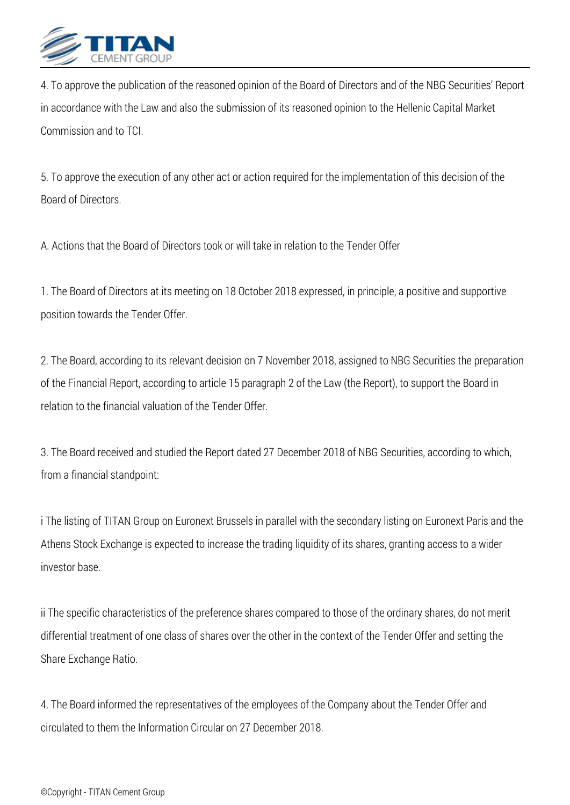

*4. To approve the publication of the reasoned opinion of the Board of Directors and of the NBG Securities' Report in accordance with the Law and also the submission of its reasoned opinion to the Hellenic Capital Market Commission and to TCI.*

*5. To approve the execution of any other act or action required for the implementation of this decision of the Board of Directors.*

*A. Actions that the Board of Directors took or will take in relation to the Tender Offer* 

*1. The Board of Directors at its meeting on 18 October 2018 expressed, in principle, a positive and supportive position towards the Tender Offer.*

*2. The Board, according to its relevant decision on 7 November 2018, assigned to NBG Securities the preparation of the Financial Report, according to article 15 paragraph 2 of the Law (the Report), to support the Board in relation to the financial valuation of the Tender Offer.*

*3. The Board received and studied the Report dated 27 December 2018 of NBG Securities, according to which, from a financial standpoint:*

*i The listing of TITAN Group on Euronext Brussels in parallel with the secondary listing on Euronext Paris and the Athens Stock Exchange is expected to increase the trading liquidity of its shares, granting access to a wider investor base.*

*ii The specific characteristics of the preference shares compared to those of the ordinary shares, do not merit differential treatment of one class of shares over the other in the context of the Tender Offer and setting the Share Exchange Ratio.*

*4. The Board informed the representatives of the employees of the Company about the Tender Offer and circulated to them the Information Circular on 27 December 2018.*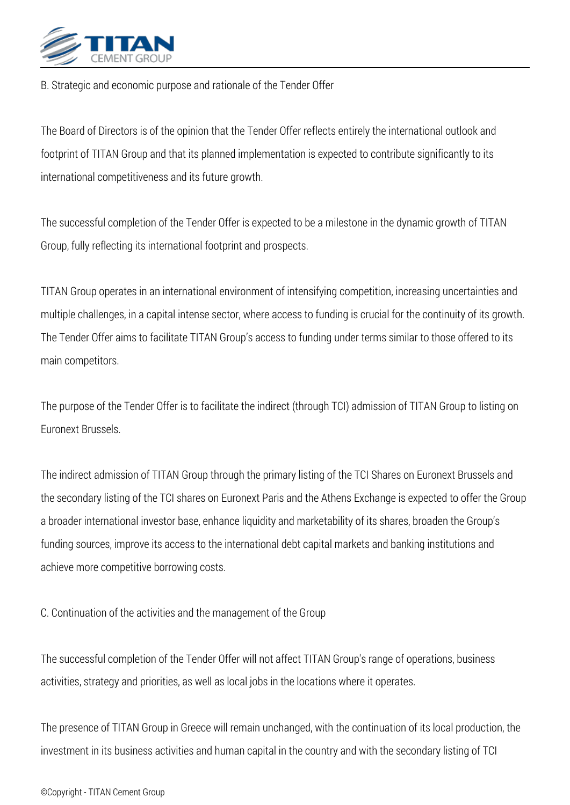

*B. Strategic and economic purpose and rationale of the Tender Offer* 

*The Board of Directors is of the opinion that the Tender Offer reflects entirely the international outlook and footprint of TITAN Group and that its planned implementation is expected to contribute significantly to its international competitiveness and its future growth.*

*The successful completion of the Tender Offer is expected to be a milestone in the dynamic growth of TITAN Group, fully reflecting its international footprint and prospects.*

*TITAN Group operates in an international environment of intensifying competition, increasing uncertainties and multiple challenges, in a capital intense sector, where access to funding is crucial for the continuity of its growth. The Tender Offer aims to facilitate TITAN Group's access to funding under terms similar to those offered to its main competitors.*

*The purpose of the Tender Offer is to facilitate the indirect (through TCI) admission of TITAN Group to listing on Euronext Brussels.*

*The indirect admission of TITAN Group through the primary listing of the TCI Shares on Euronext Brussels and the secondary listing of the TCI shares on Euronext Paris and the Athens Exchange is expected to offer the Group a broader international investor base, enhance liquidity and marketability of its shares, broaden the Group's funding sources, improve its access to the international debt capital markets and banking institutions and achieve more competitive borrowing costs.*

*C. Continuation of the activities and the management of the Group* 

*The successful completion of the Tender Offer will not affect TITAN Group's range of operations, business activities, strategy and priorities, as well as local jobs in the locations where it operates.*

*The presence of TITAN Group in Greece will remain unchanged, with the continuation of its local production, the investment in its business activities and human capital in the country and with the secondary listing of TCI*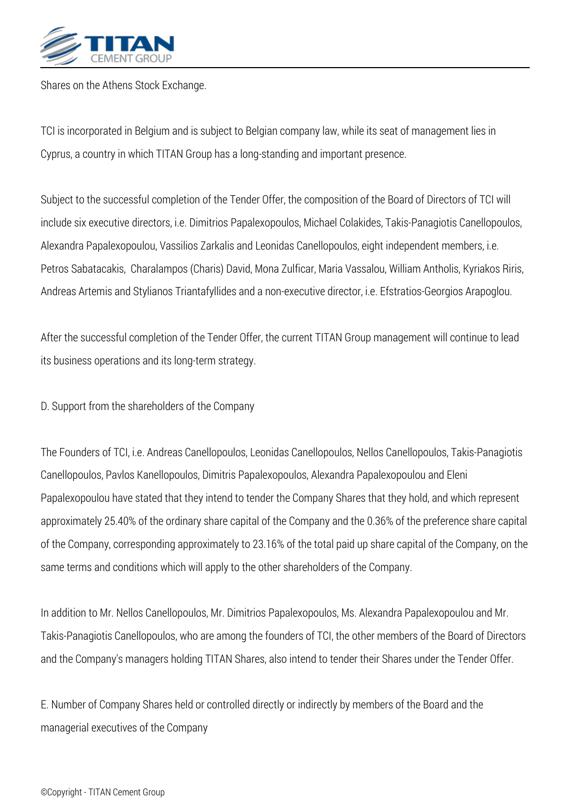

*Shares on the Athens Stock Exchange.*

*TCI is incorporated in Belgium and is subject to Belgian company law, while its seat of management lies in Cyprus, a country in which TITAN Group has a long-standing and important presence.*

*Subject to the successful completion of the Tender Offer, the composition of the Board of Directors of TCI will include six executive directors, i.e. Dimitrios Papalexopoulos, Michael Colakides, Takis-Panagiotis Canellopoulos, Alexandra Papalexopoulou, Vassilios Zarkalis and Leonidas Canellopoulos, eight independent members, i.e. Petros Sabatacakis, Charalampos (Charis) David, Mona Zulficar, Maria Vassalou, William Antholis, Kyriakos Riris, Andreas Artemis and Stylianos Triantafyllides and a non-executive director, i.e. Efstratios-Georgios Arapoglou.*

*After the successful completion of the Tender Offer, the current TITAN Group management will continue to lead its business operations and its long-term strategy.*

*D. Support from the shareholders of the Company* 

*The Founders of TCI, i.e. Andreas Canellopoulos, Leonidas Canellopoulos, Nellos Canellopoulos, Takis-Panagiotis Canellopoulos, Pavlos Kanellopoulos, Dimitris Papalexopoulos, Alexandra Papalexopoulou and Eleni Papalexopoulou have stated that they intend to tender the Company Shares that they hold, and which represent approximately 25.40% of the ordinary share capital of the Company and the 0.36% of the preference share capital of the Company, corresponding approximately to 23.16% of the total paid up share capital of the Company, on the same terms and conditions which will apply to the other shareholders of the Company.*

*In addition to Mr. Nellos Canellopoulos, Mr. Dimitrios Papalexopoulos, Ms. Alexandra Papalexopoulou and Mr. Takis-Panagiotis Canellopoulos, who are among the founders of TCI, the other members of the Board of Directors and the Company's managers holding TITAN Shares, also intend to tender their Shares under the Tender Offer.*

*E. Number of Company Shares held or controlled directly or indirectly by members of the Board and the managerial executives of the Company*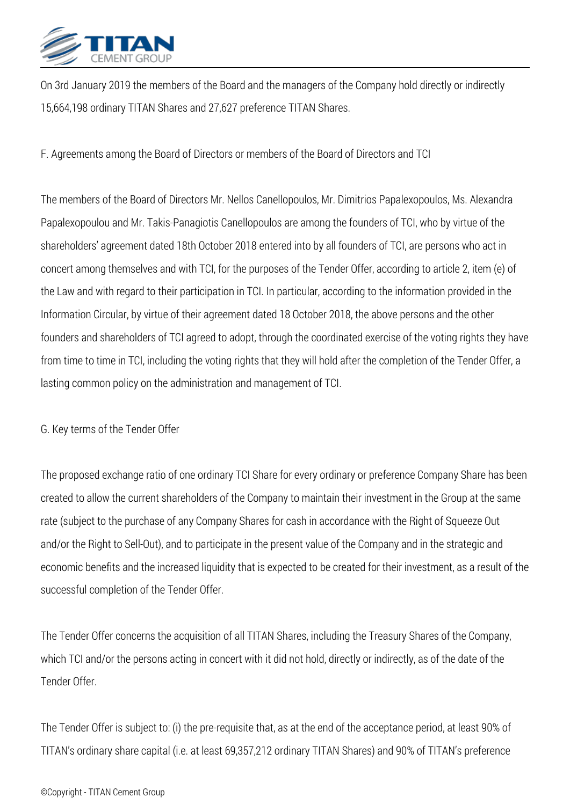

*On 3rd January 2019 the members of the Board and the managers of the Company hold directly or indirectly 15,664,198 ordinary TITAN Shares and 27,627 preference TITAN Shares.*

*F. Agreements among the Board of Directors or members of the Board of Directors and TCI*

*The members of the Board of Directors Mr. Nellos Canellopoulos, Mr. Dimitrios Papalexopoulos, Ms. Alexandra Papalexopoulou and Mr. Takis-Panagiotis Canellopoulos are among the founders of TCI, who by virtue of the shareholders' agreement dated 18th October 2018 entered into by all founders of TCI, are persons who act in concert among themselves and with TCI, for the purposes of the Tender Offer, according to article 2, item (e) of the Law and with regard to their participation in TCI. In particular, according to the information provided in the Information Circular, by virtue of their agreement dated 18 October 2018, the above persons and the other founders and shareholders of TCI agreed to adopt, through the coordinated exercise of the voting rights they have from time to time in TCI, including the voting rights that they will hold after the completion of the Tender Offer, a lasting common policy on the administration and management of TCI.*

*G. Key terms of the Tender Offer* 

*The proposed exchange ratio of one ordinary TCI Share for every ordinary or preference Company Share has been created to allow the current shareholders of the Company to maintain their investment in the Group at the same rate (subject to the purchase of any Company Shares for cash in accordance with the Right of Squeeze Out and/or the Right to Sell-Out), and to participate in the present value of the Company and in the strategic and economic benefits and the increased liquidity that is expected to be created for their investment, as a result of the successful completion of the Tender Offer.*

*The Tender Offer concerns the acquisition of all TITAN Shares, including the Treasury Shares of the Company, which TCI and/or the persons acting in concert with it did not hold, directly or indirectly, as of the date of the Tender Offer.*

*The Tender Offer is subject to: (i) the pre-requisite that, as at the end of the acceptance period, at least 90% of TITAN's ordinary share capital (i.e. at least 69,357,212 ordinary TITAN Shares) and 90% of TITAN's preference*